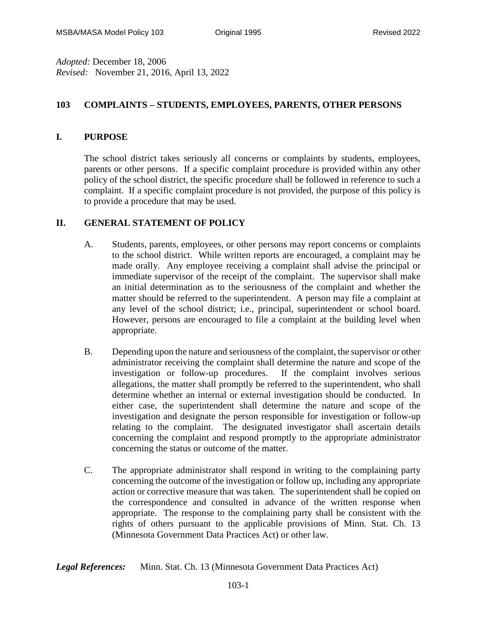*Adopted:* December 18, 2006 *Revised:* November 21, 2016, April 13, 2022

## **103 COMPLAINTS – STUDENTS, EMPLOYEES, PARENTS, OTHER PERSONS**

## **I. PURPOSE**

The school district takes seriously all concerns or complaints by students, employees, parents or other persons. If a specific complaint procedure is provided within any other policy of the school district, the specific procedure shall be followed in reference to such a complaint. If a specific complaint procedure is not provided, the purpose of this policy is to provide a procedure that may be used.

## **II. GENERAL STATEMENT OF POLICY**

- A. Students, parents, employees, or other persons may report concerns or complaints to the school district. While written reports are encouraged, a complaint may be made orally. Any employee receiving a complaint shall advise the principal or immediate supervisor of the receipt of the complaint. The supervisor shall make an initial determination as to the seriousness of the complaint and whether the matter should be referred to the superintendent. A person may file a complaint at any level of the school district; i.e., principal, superintendent or school board. However, persons are encouraged to file a complaint at the building level when appropriate.
- B. Depending upon the nature and seriousness of the complaint, the supervisor or other administrator receiving the complaint shall determine the nature and scope of the investigation or follow-up procedures. If the complaint involves serious allegations, the matter shall promptly be referred to the superintendent, who shall determine whether an internal or external investigation should be conducted. In either case, the superintendent shall determine the nature and scope of the investigation and designate the person responsible for investigation or follow-up relating to the complaint. The designated investigator shall ascertain details concerning the complaint and respond promptly to the appropriate administrator concerning the status or outcome of the matter.
- C. The appropriate administrator shall respond in writing to the complaining party concerning the outcome of the investigation or follow up, including any appropriate action or corrective measure that was taken. The superintendent shall be copied on the correspondence and consulted in advance of the written response when appropriate. The response to the complaining party shall be consistent with the rights of others pursuant to the applicable provisions of Minn. Stat. Ch. 13 (Minnesota Government Data Practices Act) or other law.

*Legal References:* Minn. Stat. Ch. 13 (Minnesota Government Data Practices Act)